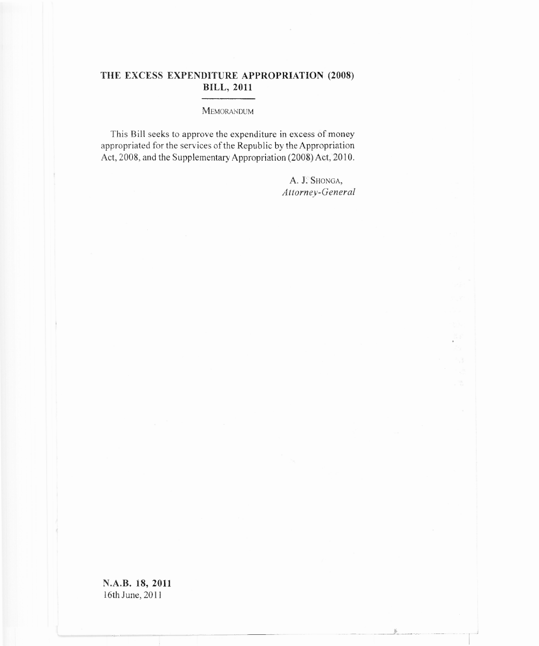### **THE EXCESS EXPENDITURE APPROPRIATION (2008) BILL, 2011**

#### **MEMORANDUM**

This Bill seeks to approve the expenditure in excess of money appropriated for the services of the Republic by the Appropriation Act, 2008, and the Supplementary Appropriation (2008) Act, 2010.

> **A.** *J.* SHONGA, *Attorney-General*

**N.A.B. 18, 2011** 16th June, 2011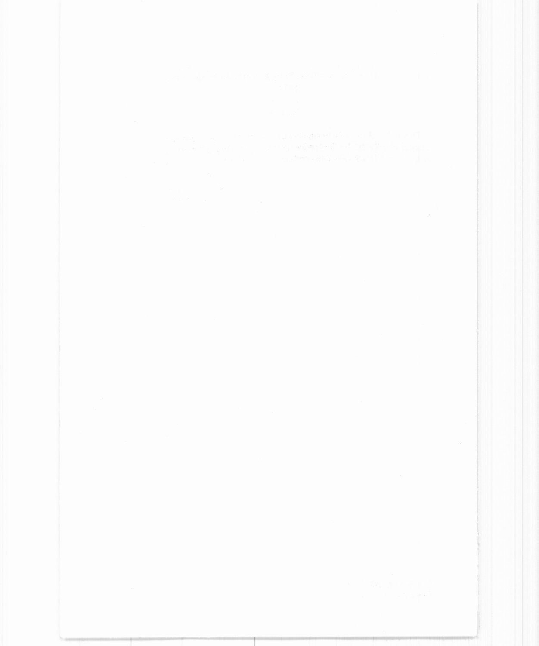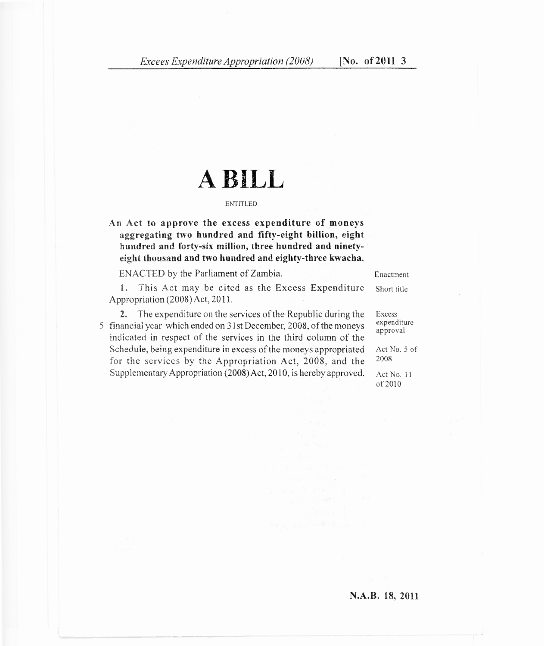# **A BILL**

#### ENTITLED

**An Act to approve the excess expenditure of moneys aggregating two hundred and fifty-eight billion, eight hundred and forty-six million, three hundred and ninetyeight thousand and two hundred and eighty-three kwacha.**

ENACTED by the Parliament of Zambia. Enactment

1. This Act may be cited as the Excess Expenditure Short title Appropriation (2008) Act, 2011.

2. The expenditure on the services of the Republic during the Excess 5 financial year which ended on 31st December, 2008, of the moneys indicated in respect of the services in the third column of the Schedule, being expenditure in excess of the moneys appropriated Act No. 5 of for the services by the Appropriation Act 2008 and the 2008 for the services by the Appropriation Act, 2008, and the Supplementary Appropriation (2008) Act, 2010, is hereby approved. Act No. 11

approval expenditure

of 2010

**N.A.B. 18, 2011**